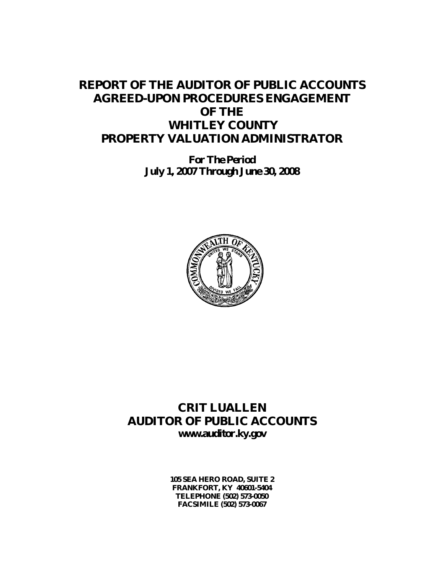# **REPORT OF THE AUDITOR OF PUBLIC ACCOUNTS AGREED-UPON PROCEDURES ENGAGEMENT OF THE WHITLEY COUNTY PROPERTY VALUATION ADMINISTRATOR**

**For The Period July 1, 2007 Through June 30, 2008**



## **CRIT LUALLEN AUDITOR OF PUBLIC ACCOUNTS www.auditor.ky.gov**

**105 SEA HERO ROAD, SUITE 2 FRANKFORT, KY 40601-5404 TELEPHONE (502) 573-0050 FACSIMILE (502) 573-0067**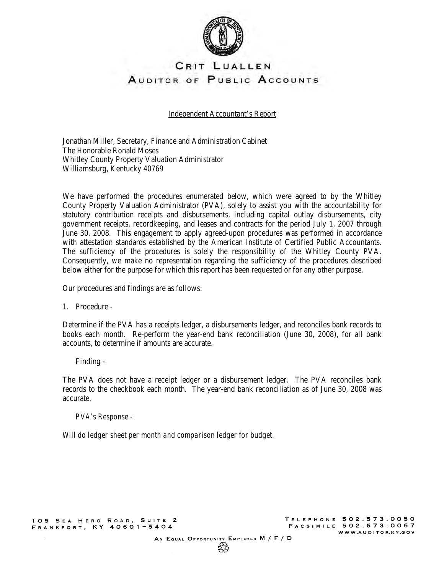

## CRIT LUALLEN AUDITOR OF PUBLIC ACCOUNTS

Independent Accountant's Report

Jonathan Miller, Secretary, Finance and Administration Cabinet The Honorable Ronald Moses Whitley County Property Valuation Administrator Williamsburg, Kentucky 40769

We have performed the procedures enumerated below, which were agreed to by the Whitley County Property Valuation Administrator (PVA), solely to assist you with the accountability for statutory contribution receipts and disbursements, including capital outlay disbursements, city government receipts, recordkeeping, and leases and contracts for the period July 1, 2007 through June 30, 2008. This engagement to apply agreed-upon procedures was performed in accordance with attestation standards established by the American Institute of Certified Public Accountants. The sufficiency of the procedures is solely the responsibility of the Whitley County PVA. Consequently, we make no representation regarding the sufficiency of the procedures described below either for the purpose for which this report has been requested or for any other purpose.

Our procedures and findings are as follows:

1. Procedure -

Determine if the PVA has a receipts ledger, a disbursements ledger, and reconciles bank records to books each month. Re-perform the year-end bank reconciliation (June 30, 2008), for all bank accounts, to determine if amounts are accurate.

Finding -

The PVA does not have a receipt ledger or a disbursement ledger. The PVA reconciles bank records to the checkbook each month. The year-end bank reconciliation as of June 30, 2008 was accurate.

*PVA's Response -* 

*Will do ledger sheet per month and comparison ledger for budget.*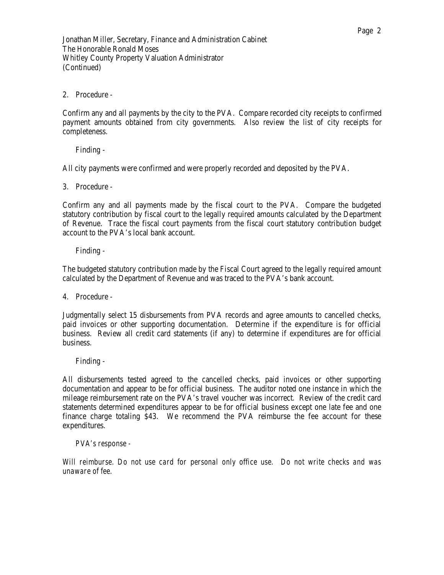### 2. Procedure -

Confirm any and all payments by the city to the PVA. Compare recorded city receipts to confirmed payment amounts obtained from city governments. Also review the list of city receipts for completeness.

Finding -

All city payments were confirmed and were properly recorded and deposited by the PVA.

3. Procedure -

Confirm any and all payments made by the fiscal court to the PVA. Compare the budgeted statutory contribution by fiscal court to the legally required amounts calculated by the Department of Revenue. Trace the fiscal court payments from the fiscal court statutory contribution budget account to the PVA's local bank account.

Finding -

The budgeted statutory contribution made by the Fiscal Court agreed to the legally required amount calculated by the Department of Revenue and was traced to the PVA's bank account.

4. Procedure -

Judgmentally select 15 disbursements from PVA records and agree amounts to cancelled checks, paid invoices or other supporting documentation. Determine if the expenditure is for official business. Review all credit card statements (if any) to determine if expenditures are for official business.

Finding -

All disbursements tested agreed to the cancelled checks, paid invoices or other supporting documentation and appear to be for official business. The auditor noted one instance in which the mileage reimbursement rate on the PVA's travel voucher was incorrect. Review of the credit card statements determined expenditures appear to be for official business except one late fee and one finance charge totaling \$43. We recommend the PVA reimburse the fee account for these expenditures.

*PVA's response -* 

*Will reimburse. Do not use card for personal only office use. Do not write checks and was unaware of fee.*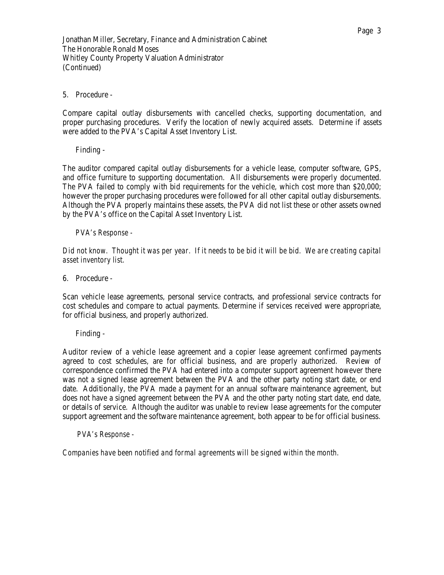#### 5. Procedure -

Compare capital outlay disbursements with cancelled checks, supporting documentation, and proper purchasing procedures. Verify the location of newly acquired assets. Determine if assets were added to the PVA's Capital Asset Inventory List.

Finding -

The auditor compared capital outlay disbursements for a vehicle lease, computer software, GPS, and office furniture to supporting documentation. All disbursements were properly documented. The PVA failed to comply with bid requirements for the vehicle, which cost more than \$20,000; however the proper purchasing procedures were followed for all other capital outlay disbursements. Although the PVA properly maintains these assets, the PVA did not list these or other assets owned by the PVA's office on the Capital Asset Inventory List.

### *PVA's Response -*

*Did not know. Thought it was per year. If it needs to be bid it will be bid. We are creating capital asset inventory list.* 

6. Procedure -

Scan vehicle lease agreements, personal service contracts, and professional service contracts for cost schedules and compare to actual payments. Determine if services received were appropriate, for official business, and properly authorized.

Finding -

Auditor review of a vehicle lease agreement and a copier lease agreement confirmed payments agreed to cost schedules, are for official business, and are properly authorized. Review of correspondence confirmed the PVA had entered into a computer support agreement however there was not a signed lease agreement between the PVA and the other party noting start date, or end date. Additionally, the PVA made a payment for an annual software maintenance agreement, but does not have a signed agreement between the PVA and the other party noting start date, end date, or details of service. Although the auditor was unable to review lease agreements for the computer support agreement and the software maintenance agreement, both appear to be for official business.

#### *PVA's Response -*

*Companies have been notified and formal agreements will be signed within the month.*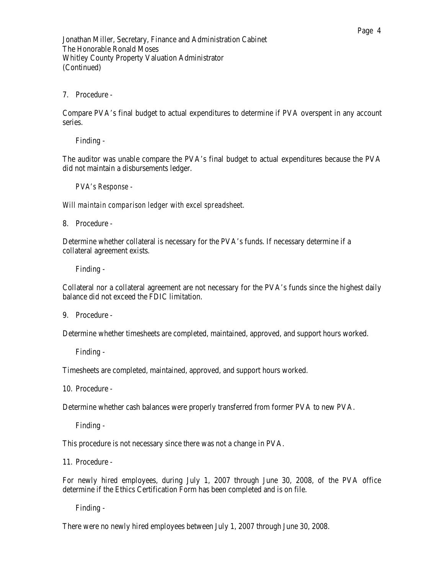7. Procedure -

Compare PVA's final budget to actual expenditures to determine if PVA overspent in any account series.

Finding -

The auditor was unable compare the PVA's final budget to actual expenditures because the PVA did not maintain a disbursements ledger.

*PVA's Response -* 

*Will maintain comparison ledger with excel spreadsheet.* 

8. Procedure -

Determine whether collateral is necessary for the PVA's funds. If necessary determine if a collateral agreement exists.

Finding -

Collateral nor a collateral agreement are not necessary for the PVA's funds since the highest daily balance did not exceed the FDIC limitation.

9. Procedure -

Determine whether timesheets are completed, maintained, approved, and support hours worked.

Finding -

Timesheets are completed, maintained, approved, and support hours worked.

10. Procedure -

Determine whether cash balances were properly transferred from former PVA to new PVA.

Finding -

This procedure is not necessary since there was not a change in PVA.

11. Procedure -

For newly hired employees, during July 1, 2007 through June 30, 2008, of the PVA office determine if the Ethics Certification Form has been completed and is on file.

Finding -

There were no newly hired employees between July 1, 2007 through June 30, 2008.